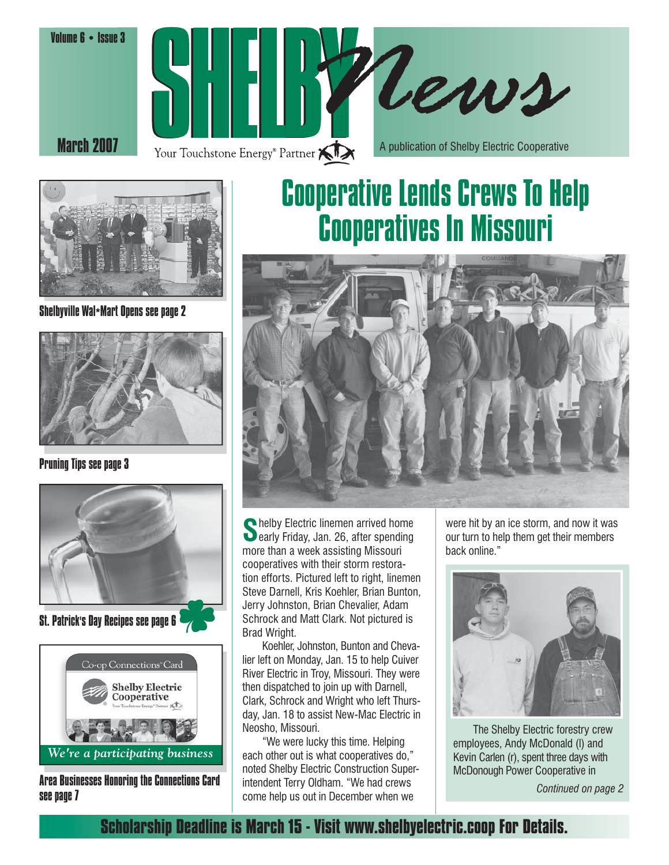





Shelbyville Wal\*Mart Opens see page 2



Pruning Tips see page 3



St. Patrick's Day Recipes see page 6



Area Businesses Honoring the Connections Card see page 7

# Cooperative Lends Crews To Help Cooperatives In Missouri



Shelby Electric linemen arrived home<br>Searly Friday, Jan. 26, after spending more than a week assisting Missouri cooperatives with their storm restoration efforts. Pictured left to right, linemen Steve Darnell, Kris Koehler, Brian Bunton, Jerry Johnston, Brian Chevalier, Adam Schrock and Matt Clark. Not pictured is Brad Wright.

 Koehler, Johnston, Bunton and Chevalier left on Monday, Jan. 15 to help Cuiver River Electric in Troy, Missouri. They were then dispatched to join up with Darnell, Clark, Schrock and Wright who left Thursday, Jan. 18 to assist New-Mac Electric in Neosho, Missouri.

 "We were lucky this time. Helping each other out is what cooperatives do," noted Shelby Electric Construction Superintendent Terry Oldham. "We had crews come help us out in December when we

were hit by an ice storm, and now it was our turn to help them get their members back online."



 The Shelby Electric forestry crew employees, Andy McDonald (l) and Kevin Carlen (r), spent three days with McDonough Power Cooperative in

*Continued on page 2*

**Scholarship Deadline is March 15 - Visit www.shelbyelectric.coop For Details.**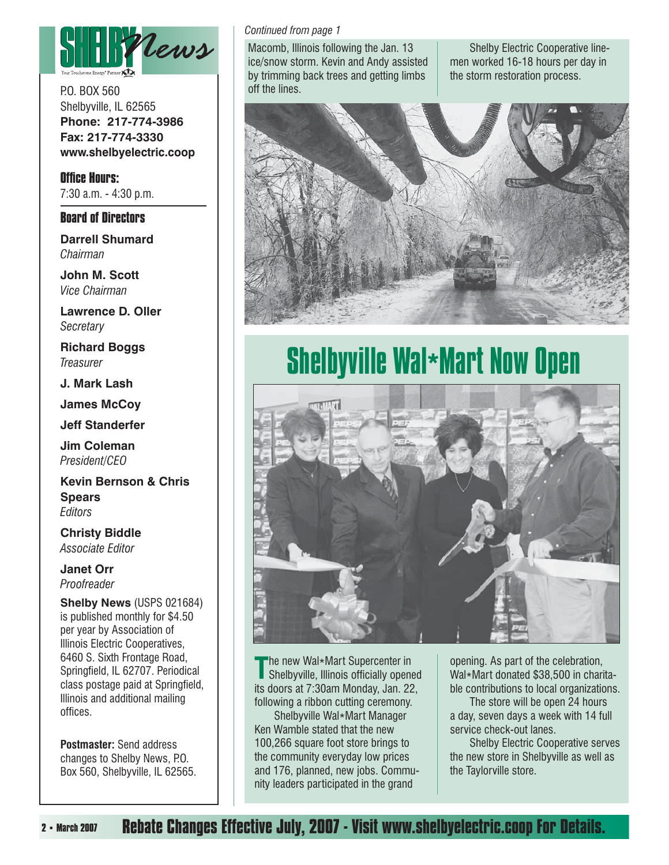

P.O. BOX 560 Shelbyville, IL 62565 **Phone: 217-774-3986 Fax: 217-774-3330 www.shelbyelectric.coop**

**Office Hours:** 7:30 a.m. - 4:30 p.m.

#### **Board of Directors**

**Darrell Shumard** *Chairman*

**John M. Scott** *Vice Chairman*

**Lawrence D. Oller** *Secretary*

**Richard Boggs** *Treasurer*

**J. Mark Lash**

**James McCoy**

**Jeff Standerfer**

**Jim Coleman** *President/CEO*

**Kevin Bernson & Chris Spears** *Editors*

**Christy Biddle** *Associate Editor*

**Janet Orr** *Proofreader*

**Shelby News** (USPS 021684) is published monthly for \$4.50 per year by Association of Illinois Electric Cooperatives, 6460 S. Sixth Frontage Road, Springfield, IL 62707. Periodical class postage paid at Springfield, Illinois and additional mailing offices.

**Postmaster:** Send address changes to Shelby News, P.O. Box 560, Shelbyville, IL 62565.

#### *Continued from page 1*

Macomb, Illinois following the Jan. 13 ice/snow storm. Kevin and Andy assisted by trimming back trees and getting limbs off the lines.

 Shelby Electric Cooperative linemen worked 16-18 hours per day in the storm restoration process.



# Shelbyville Wal\*Mart Now Open



The new Wal\*Mart Supercenter in<br>Shelbyville, Illinois officially opened its doors at 7:30am Monday, Jan. 22, following a ribbon cutting ceremony.

 Shelbyville Wal\*Mart Manager Ken Wamble stated that the new 100,266 square foot store brings to the community everyday low prices and 176, planned, new jobs. Community leaders participated in the grand

opening. As part of the celebration, Wal\*Mart donated \$38,500 in charitable contributions to local organizations.

 The store will be open 24 hours a day, seven days a week with 14 full service check-out lanes.

 Shelby Electric Cooperative serves the new store in Shelbyville as well as the Taylorville store.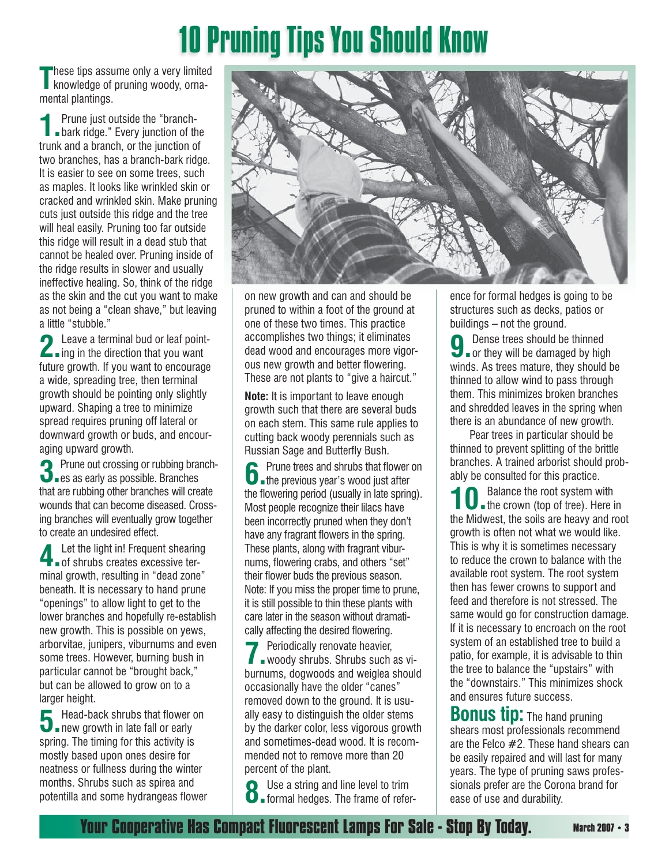# 10 Pruning Tips You Should Know

These tips assume only a very limited<br>
knowledge of pruning woody, ornamental plantings.

**1.** Prune just outside the "branch-<br> **1.** bark ridge." Every junction of the trunk and a branch, or the junction of two branches, has a branch-bark ridge. It is easier to see on some trees, such as maples. It looks like wrinkled skin or cracked and wrinkled skin. Make pruning cuts just outside this ridge and the tree will heal easily. Pruning too far outside this ridge will result in a dead stub that cannot be healed over. Pruning inside of the ridge results in slower and usually ineffective healing. So, think of the ridge as the skin and the cut you want to make as not being a "clean shave," but leaving a little "stubble."

**2** Leave a terminal bud or leaf point-<br>ing in the direction that you want future growth. If you want to encourage a wide, spreading tree, then terminal growth should be pointing only slightly upward. Shaping a tree to minimize spread requires pruning off lateral or downward growth or buds, and encouraging upward growth.

**3.** Prune out crossing or rubbing branch-<br> **3.** es as early as possible. Branches that are rubbing other branches will create wounds that can become diseased. Crossing branches will eventually grow together to create an undesired effect.

**4.** Let the light in! Frequent shearing<br> **4.** Let shrubs creates excessive terminal growth, resulting in "dead zone" beneath. It is necessary to hand prune "openings" to allow light to get to the lower branches and hopefully re-establish new growth. This is possible on yews, arborvitae, junipers, viburnums and even some trees. However, burning bush in particular cannot be "brought back," but can be allowed to grow on to a larger height.

**5.** Head-back shrubs that flower on **5.** new growth in late fall or early spring. The timing for this activity is mostly based upon ones desire for neatness or fullness during the winter months. Shrubs such as spirea and potentilla and some hydrangeas flower



on new growth and can and should be pruned to within a foot of the ground at one of these two times. This practice accomplishes two things; it eliminates dead wood and encourages more vigorous new growth and better flowering. These are not plants to "give a haircut."

**Note:** It is important to leave enough growth such that there are several buds on each stem. This same rule applies to cutting back woody perennials such as Russian Sage and Butterfly Bush.

**6.** Prune trees and shrubs that flower on the previous year's wood just after the flowering period (usually in late spring). Most people recognize their lilacs have been incorrectly pruned when they don't have any fragrant flowers in the spring. These plants, along with fragrant viburnums, flowering crabs, and others "set" their flower buds the previous season. Note: If you miss the proper time to prune, it is still possible to thin these plants with care later in the season without dramatically affecting the desired flowering.

**7** Periodically renovate heavier,<br>woody shrubs. Shrubs such as viburnums, dogwoods and weiglea should occasionally have the older "canes" removed down to the ground. It is usually easy to distinguish the older stems by the darker color, less vigorous growth and sometimes-dead wood. It is recommended not to remove more than 20 percent of the plant.

**8.** Use a string and line level to trim<br>**8. o** formal hedges. The frame of refer-

ence for formal hedges is going to be structures such as decks, patios or buildings – not the ground.

**9.** Dense trees should be thinned or they will be damaged by high winds. As trees mature, they should be thinned to allow wind to pass through them. This minimizes broken branches and shredded leaves in the spring when there is an abundance of new growth.

 Pear trees in particular should be thinned to prevent splitting of the brittle branches. A trained arborist should probably be consulted for this practice.

**10** Balance the root system with<br>the crown (top of tree). Here in the Midwest, the soils are heavy and root growth is often not what we would like. This is why it is sometimes necessary to reduce the crown to balance with the available root system. The root system then has fewer crowns to support and feed and therefore is not stressed. The same would go for construction damage. If it is necessary to encroach on the root system of an established tree to build a patio, for example, it is advisable to thin the tree to balance the "upstairs" with the "downstairs." This minimizes shock and ensures future success.

**Bonus tip:** The hand pruning shears most professionals recommend are the Felco #2. These hand shears can be easily repaired and will last for many years. The type of pruning saws professionals prefer are the Corona brand for ease of use and durability.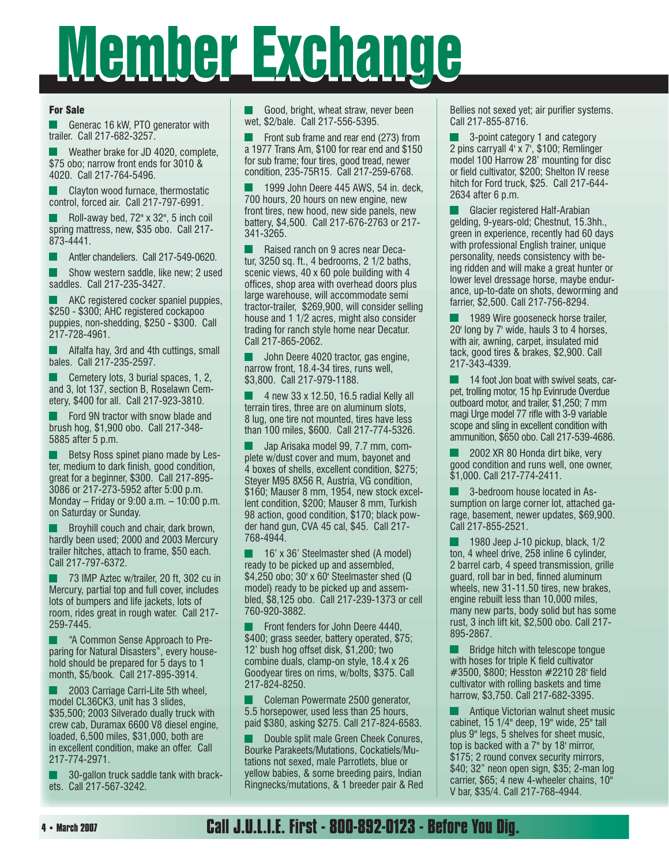# Member Exchange

#### For Sale

 Generac 16 kW, PTO generator with trailer. Call 217-682-3257.

 Weather brake for JD 4020, complete, \$75 obo; narrow front ends for 3010 & 4020. Call 217-764-5496.

 Clayton wood furnace, thermostatic L control, forced air. Call 217-797-6991.

 Roll-away bed, 72" x 32", 5 inch coil spring mattress, new, \$35 obo. Call 217- 873-4441.

Antler chandeliers. Call 217-549-0620.

 Show western saddle, like new; 2 used L saddles. Call 217-235-3427.

 AKC registered cocker spaniel puppies, \$250 - \$300; AHC registered cockapoo puppies, non-shedding, \$250 - \$300. Call 217-728-4961.

**Alfalfa hay, 3rd and 4th cuttings, small** bales. Call 217-235-2597.

 Cemetery lots, 3 burial spaces, 1, 2, and 3, lot 137, section B, Roselawn Cemetery, \$400 for all. Call 217-923-3810.

 Ford 9N tractor with snow blade and brush hog, \$1,900 obo. Call 217-348- 5885 after 5 p.m.

 Betsy Ross spinet piano made by Lester, medium to dark finish, good condition, great for a beginner, \$300. Call 217-895- 3086 or 217-273-5952 after 5:00 p.m. Monday – Friday or 9:00 a.m. – 10:00 p.m. on Saturday or Sunday.

 Broyhill couch and chair, dark brown, hardly been used; 2000 and 2003 Mercury trailer hitches, attach to frame, \$50 each. Call 217-797-6372.

 73 IMP Aztec w/trailer, 20 ft, 302 cu in Mercury, partial top and full cover, includes lots of bumpers and life jackets, lots of room, rides great in rough water. Call 217- 259-7445.

 "A Common Sense Approach to Preparing for Natural Disasters", every household should be prepared for 5 days to 1 month, \$5/book. Call 217-895-3914.

 2003 Carriage Carri-Lite 5th wheel, model CL36CK3, unit has 3 slides, \$35,500; 2003 Silverado dually truck with crew cab, Duramax 6600 V8 diesel engine, loaded, 6,500 miles, \$31,000, both are in excellent condition, make an offer. Call 217-774-2971.

 30-gallon truck saddle tank with brackets. Call 217-567-3242.

 Good, bright, wheat straw, never been wet, \$2/bale. Call 217-556-5395.

 Front sub frame and rear end (273) from a 1977 Trans Am, \$100 for rear end and \$150 for sub frame; four tires, good tread, newer condition, 235-75R15. Call 217-259-6768.

 1999 John Deere 445 AWS, 54 in. deck, 700 hours, 20 hours on new engine, new front tires, new hood, new side panels, new battery, \$4,500. Call 217-676-2763 or 217- 341-3265.

 Raised ranch on 9 acres near Decatur, 3250 sq. ft., 4 bedrooms, 2 1/2 baths, scenic views, 40 x 60 pole building with 4 offices, shop area with overhead doors plus large warehouse, will accommodate semi tractor-trailer, \$269,900, will consider selling house and 1 1/2 acres, might also consider trading for ranch style home near Decatur. Call 217-865-2062.

 John Deere 4020 tractor, gas engine, narrow front, 18.4-34 tires, runs well, \$3,800. Call 217-979-1188.

 4 new 33 x 12.50, 16.5 radial Kelly all terrain tires, three are on aluminum slots, 8 lug, one tire not mounted, tires have less than 100 miles, \$600. Call 217-774-5326.

 Jap Arisaka model 99, 7.7 mm, complete w/dust cover and mum, bayonet and 4 boxes of shells, excellent condition, \$275; Steyer M95 8X56 R, Austria, VG condition, \$160; Mauser 8 mm, 1954, new stock excellent condition, \$200; Mauser 8 mm, Turkish 98 action, good condition, \$170; black powder hand gun, CVA 45 cal, \$45. Call 217- 768-4944.

 16' x 36' Steelmaster shed (A model) ready to be picked up and assembled, \$4,250 obo; 30' x 60' Steelmaster shed (Q model) ready to be picked up and assembled, \$8,125 obo. Call 217-239-1373 or cell 760-920-3882.

 Front fenders for John Deere 4440, \$400; grass seeder, battery operated, \$75; 12' bush hog offset disk, \$1,200; two combine duals, clamp-on style, 18.4 x 26 Goodyear tires on rims, w/bolts, \$375. Call 217-824-8250.

 Coleman Powermate 2500 generator, 5.5 horsepower, used less than 25 hours, paid \$380, asking \$275. Call 217-824-6583.

 Double split male Green Cheek Conures, Bourke Parakeets/Mutations, Cockatiels/Mutations not sexed, male Parrotlets, blue or yellow babies, & some breeding pairs, Indian Ringnecks/mutations, & 1 breeder pair & Red

Bellies not sexed yet; air purifier systems. Call 217-855-8716.

 3-point category 1 and category 2 pins carryall 4' x 7', \$100; Remlinger model 100 Harrow 28' mounting for disc or field cultivator, \$200; Shelton IV reese hitch for Ford truck, \$25. Call 217-644- 2634 after 6 p.m.

 Glacier registered Half-Arabian gelding, 9-years-old; Chestnut, 15.3hh., green in experience, recently had 60 days with professional English trainer, unique personality, needs consistency with being ridden and will make a great hunter or lower level dressage horse, maybe endurance, up-to-date on shots, deworming and farrier, \$2,500. Call 217-756-8294.

 1989 Wire gooseneck horse trailer, 20' long by 7' wide, hauls 3 to 4 horses, with air, awning, carpet, insulated mid tack, good tires & brakes, \$2,900. Call 217-343-4339.

 14 foot Jon boat with swivel seats, carpet, trolling motor, 15 hp Evinrude Overdue outboard motor, and trailer, \$1,250; 7 mm magi Urge model 77 rifle with 3-9 variable scope and sling in excellent condition with ammunition, \$650 obo. Call 217-539-4686.

 2002 XR 80 Honda dirt bike, very good condition and runs well, one owner, \$1,000. Call 217-774-2411.

 3-bedroom house located in Assumption on large corner lot, attached garage, basement, newer updates, \$69,900. Call 217-855-2521.

 1980 Jeep J-10 pickup, black, 1/2 ton, 4 wheel drive, 258 inline 6 cylinder, 2 barrel carb, 4 speed transmission, grille quard, roll bar in bed, finned aluminum wheels, new 31-11.50 tires, new brakes, engine rebuilt less than 10,000 miles, many new parts, body solid but has some rust, 3 inch lift kit, \$2,500 obo. Call 217- 895-2867.

 Bridge hitch with telescope tongue with hoses for triple K field cultivator #3500, \$800; Hesston #2210 28' field cultivator with rolling baskets and time harrow, \$3,750. Call 217-682-3395.

 Antique Victorian walnut sheet music cabinet, 15 1/4" deep, 19" wide, 25" tall plus 9" legs, 5 shelves for sheet music, top is backed with a 7" by 18' mirror, \$175; 2 round convex security mirrors, \$40; 32" neon open sign, \$35; 2-man log carrier, \$65; 4 new 4-wheeler chains, 10" V bar, \$35/4. Call 217-768-4944.

## **Call J.U.L.I.E. First - 800-892-0123 - Before You Dig.**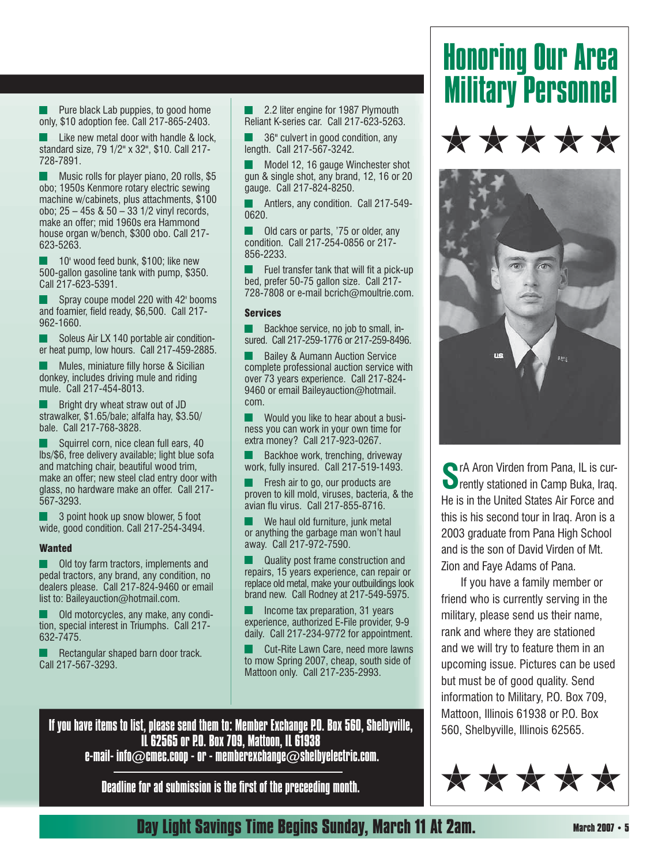Pure black Lab puppies, to good home only, \$10 adoption fee. Call 217-865-2403.

 Like new metal door with handle & lock, standard size, 79 1/2" x 32", \$10. Call 217- 728-7891.

**Music rolls for player piano, 20 rolls, \$5** obo; 1950s Kenmore rotary electric sewing machine w/cabinets, plus attachments, \$100 obo; 25 – 45s & 50 – 33 1/2 vinyl records, make an offer; mid 1960s era Hammond house organ w/bench, \$300 obo. Call 217- 623-5263.

 10' wood feed bunk, \$100; like new 500-gallon gasoline tank with pump, \$350. Call 217-623-5391.

 Spray coupe model 220 with 42' booms and foamier, field ready, \$6,500. Call 217-962-1660.

 Soleus Air LX 140 portable air conditioner heat pump, low hours. Call 217-459-2885.

Mules, miniature filly horse & Sicilian donkey, includes driving mule and riding mule. Call 217-454-8013.

 Bright dry wheat straw out of JD strawalker, \$1.65/bale; alfalfa hay, \$3.50/ bale. Call 217-768-3828.

 Squirrel corn, nice clean full ears, 40 lbs/\$6, free delivery available; light blue sofa and matching chair, beautiful wood trim, make an offer; new steel clad entry door with glass, no hardware make an offer. Call 217- 567-3293.

 3 point hook up snow blower, 5 foot wide, good condition. Call 217-254-3494.

#### **Wanted**

 Old toy farm tractors, implements and pedal tractors, any brand, any condition, no dealers please. Call 217-824-9460 or email list to: Baileyauction@hotmail.com.

 Old motorcycles, any make, any condition, special interest in Triumphs. Call 217- 632-7475.

 Rectangular shaped barn door track. Call 217-567-3293.

 2.2 liter engine for 1987 Plymouth Reliant K-series car. Call 217-623-5263.

 36" culvert in good condition, any length. Call 217-567-3242.

 Model 12, 16 gauge Winchester shot gun & single shot, any brand, 12, 16 or 20 gauge. Call 217-824-8250.

 Antlers, any condition. Call 217-549- 0620.

 Old cars or parts, '75 or older, any condition. Call 217-254-0856 or 217- 856-2233.

 $\blacksquare$  Fuel transfer tank that will fit a pick-up bed, prefer 50-75 gallon size. Call 217- 728-7808 or e-mail bcrich@moultrie.com.

#### Services

 Backhoe service, no job to small, insured. Call 217-259-1776 or 217-259-8496.

 Bailey & Aumann Auction Service complete professional auction service with over 73 years experience. Call 217-824- 9460 or email Baileyauction@hotmail. com.

 Would you like to hear about a business you can work in your own time for extra money? Call 217-923-0267.

 Backhoe work, trenching, driveway work, fully insured. Call 217-519-1493.

 Fresh air to go, our products are proven to kill mold, viruses, bacteria, & the avian flu virus. Call 217-855-8716.

 We haul old furniture, junk metal or anything the garbage man won't haul away. Call 217-972-7590.

 Quality post frame construction and repairs, 15 years experience, can repair or replace old metal, make your outbuildings look brand new. Call Rodney at 217-549-5975.

 Income tax preparation, 31 years experience, authorized E-File provider, 9-9 daily. Call 217-234-9772 for appointment.

 Cut-Rite Lawn Care, need more lawns to mow Spring 2007, cheap, south side of Mattoon only. Call 217-235-2993.

# Honoring Our Area Military Personnel





**Solution Canal Aron Virden from Pana, IL is cur-O** rently stationed in Camp Buka, Iraq. He is in the United States Air Force and this is his second tour in Iraq. Aron is a 2003 graduate from Pana High School and is the son of David Virden of Mt. Zion and Faye Adams of Pana.

 If you have a family member or friend who is currently serving in the military, please send us their name, rank and where they are stationed and we will try to feature them in an upcoming issue. Pictures can be used but must be of good quality. Send information to Military, P.O. Box 709, Mattoon, Illinois 61938 or P.O. Box 560, Shelbyville, Illinois 62565.



If you have items to list, please send them to: Member Exchange P.O. Box 560, Shelbyville, IL 62565 or P.O. Box 709, Mattoon, IL 61938 e-mail- info $\oslash$ cmec.coop - or - memberexchange $\oslash$ shelbyelectric.com.

Deadline for ad submission is the first of the preceeding month.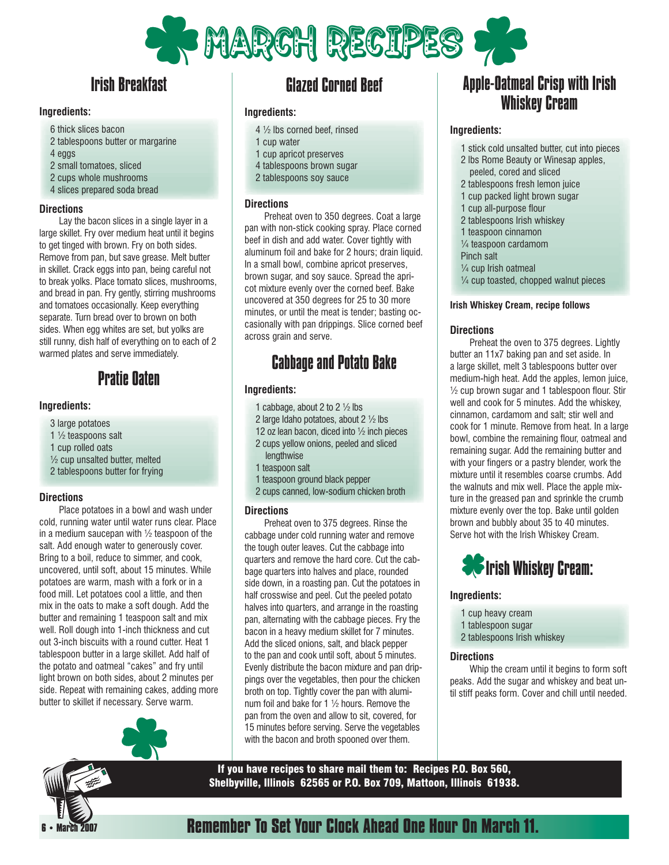

# Irish Breakfast

#### **Ingredients:**

- 6 thick slices bacon
- 2 tablespoons butter or margarine
- 4 eggs
- 2 small tomatoes, sliced
- 2 cups whole mushrooms
- 4 slices prepared soda bread

#### **Directions**

 Lay the bacon slices in a single layer in a large skillet. Fry over medium heat until it begins to get tinged with brown. Fry on both sides. Remove from pan, but save grease. Melt butter in skillet. Crack eggs into pan, being careful not to break yolks. Place tomato slices, mushrooms, and bread in pan. Fry gently, stirring mushrooms and tomatoes occasionally. Keep everything separate. Turn bread over to brown on both sides. When egg whites are set, but yolks are still runny, dish half of everything on to each of 2 warmed plates and serve immediately.

### Pratie Oaten

#### **Ingredients:**

- 3 large potatoes
- 1 ½ teaspoons salt
- 1 cup rolled oats
- ½ cup unsalted butter, melted
- 2 tablespoons butter for frying

#### **Directions**

 Place potatoes in a bowl and wash under cold, running water until water runs clear. Place in a medium saucepan with  $\frac{1}{2}$  teaspoon of the salt. Add enough water to generously cover. Bring to a boil, reduce to simmer, and cook, uncovered, until soft, about 15 minutes. While potatoes are warm, mash with a fork or in a food mill. Let potatoes cool a little, and then mix in the oats to make a soft dough. Add the butter and remaining 1 teaspoon salt and mix well. Roll dough into 1-inch thickness and cut out 3-inch biscuits with a round cutter. Heat 1 tablespoon butter in a large skillet. Add half of the potato and oatmeal "cakes" and fry until light brown on both sides, about 2 minutes per side. Repeat with remaining cakes, adding more butter to skillet if necessary. Serve warm.

## Glazed Corned Beef

#### **Ingredients:**

- 4 ½ lbs corned beef, rinsed
- 1 cup water
- 1 cup apricot preserves
- 4 tablespoons brown sugar
- 2 tablespoons soy sauce

#### **Directions**

 Preheat oven to 350 degrees. Coat a large pan with non-stick cooking spray. Place corned beef in dish and add water. Cover tightly with aluminum foil and bake for 2 hours; drain liquid. In a small bowl, combine apricot preserves, brown sugar, and soy sauce. Spread the apricot mixture evenly over the corned beef. Bake uncovered at 350 degrees for 25 to 30 more minutes, or until the meat is tender; basting occasionally with pan drippings. Slice corned beef across grain and serve.

# Cabbage and Potato Bake

#### **Ingredients:**

- 1 cabbage, about 2 to 2 ½ lbs
- 2 large Idaho potatoes, about 2 ½ lbs
- 12 oz lean bacon, diced into ½ inch pieces
- 2 cups yellow onions, peeled and sliced lengthwise
- 1 teaspoon salt
- 1 teaspoon ground black pepper
- 2 cups canned, low-sodium chicken broth

#### **Directions**

 Preheat oven to 375 degrees. Rinse the cabbage under cold running water and remove the tough outer leaves. Cut the cabbage into quarters and remove the hard core. Cut the cabbage quarters into halves and place, rounded side down, in a roasting pan. Cut the potatoes in half crosswise and peel. Cut the peeled potato halves into quarters, and arrange in the roasting pan, alternating with the cabbage pieces. Fry the bacon in a heavy medium skillet for 7 minutes. Add the sliced onions, salt, and black pepper to the pan and cook until soft, about 5 minutes. Evenly distribute the bacon mixture and pan drippings over the vegetables, then pour the chicken broth on top. Tightly cover the pan with aluminum foil and bake for 1 ½ hours. Remove the pan from the oven and allow to sit, covered, for 15 minutes before serving. Serve the vegetables with the bacon and broth spooned over them.

## Apple-Oatmeal Crisp with Irish Whiskey Cream

#### **Ingredients:**

- 1 stick cold unsalted butter, cut into pieces
- 2 lbs Rome Beauty or Winesap apples, peeled, cored and sliced
- 2 tablespoons fresh lemon juice
- 1 cup packed light brown sugar
- 1 cup all-purpose flour
- 2 tablespoons Irish whiskey
- 1 teaspoon cinnamon
- ¼ teaspoon cardamom
- Pinch salt
- ¼ cup Irish oatmeal
- ¼ cup toasted, chopped walnut pieces

#### **Irish Whiskey Cream, recipe follows**

#### **Directions**

 Preheat the oven to 375 degrees. Lightly butter an 11x7 baking pan and set aside. In a large skillet, melt 3 tablespoons butter over medium-high heat. Add the apples, lemon juice,  $\frac{1}{2}$  cup brown sugar and 1 tablespoon flour. Stir well and cook for 5 minutes. Add the whiskey, cinnamon, cardamom and salt; stir well and cook for 1 minute. Remove from heat. In a large bowl, combine the remaining flour, oatmeal and remaining sugar. Add the remaining butter and with your fingers or a pastry blender, work the mixture until it resembles coarse crumbs. Add the walnuts and mix well. Place the apple mixture in the greased pan and sprinkle the crumb mixture evenly over the top. Bake until golden brown and bubbly about 35 to 40 minutes. Serve hot with the Irish Whiskey Cream.



#### **Ingredients:**

- 1 cup heavy cream
- 1 tablespoon sugar
- 2 tablespoons Irish whiskey

#### **Directions**

 Whip the cream until it begins to form soft peaks. Add the sugar and whiskey and beat until stiff peaks form. Cover and chill until needed.



If you have recipes to share mail them to: Recipes P.O. Box 560, Shelbyville, Illinois 62565 or P.O. Box 709, Mattoon, Illinois 61938.

## **Remember To Set Your Clock Ahead One Hour On March 11.**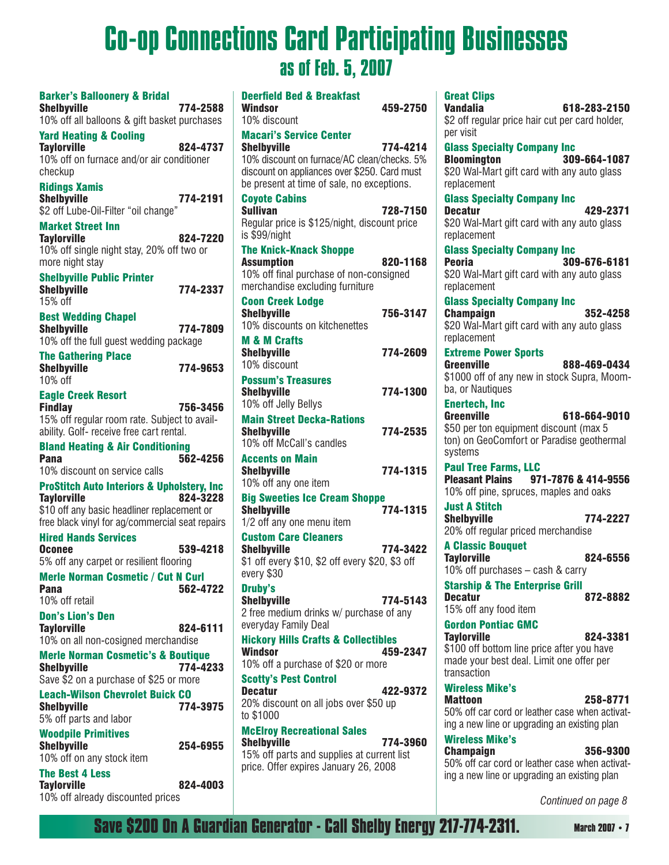# Co-op Connections Card Participating Businesses as of Feb. 5, 2007

| <b>Barker's Balloonery &amp; Bridal</b>                                           |          |
|-----------------------------------------------------------------------------------|----------|
| <b>Shelbyville</b>                                                                | 774-2588 |
| 10% off all balloons & gift basket purchases<br><b>Yard Heating &amp; Cooling</b> |          |
| <b>Taylorville</b>                                                                | 824-4737 |
| 10% off on furnace and/or air conditioner                                         |          |
| checkup                                                                           |          |
| <b>Ridings Xamis</b>                                                              |          |
| <b>Shelbyville</b><br>\$2 off Lube-Oil-Filter "oil change"                        | 774-2191 |
| <b>Market Street Inn</b>                                                          |          |
| <b>Taylorville</b>                                                                | 824-7220 |
| 10% off single night stay, 20% off two or                                         |          |
| more night stay                                                                   |          |
| <b>Shelbyville Public Printer</b>                                                 |          |
| <b>Shelbyville</b><br>15% off                                                     | 774-2337 |
| <b>Best Wedding Chapel</b>                                                        |          |
| <b>Shelbyville</b>                                                                | 774-7809 |
| 10% off the full guest wedding package                                            |          |
| <b>The Gathering Place</b>                                                        |          |
| <b>Shelbyville</b><br>10% off                                                     | 774-9653 |
|                                                                                   |          |
| <b>Eagle Creek Resort</b><br><b>Findlay</b>                                       | 756-3456 |
| 15% off regular room rate. Subject to avail-                                      |          |
| ability. Golf- receive free cart rental.                                          |          |
| <b>Bland Heating &amp; Air Conditioning</b>                                       |          |
| Pana                                                                              | 562-4256 |
| 10% discount on service calls                                                     |          |
| <b>ProStitch Auto Interiors &amp; Upholstery, Inc</b><br><b>Taylorville</b>       | 824-3228 |
| \$10 off any basic headliner replacement or                                       |          |
| free black vinyl for ag/commercial seat repairs                                   |          |
| <b>Hired Hands Services</b>                                                       |          |
| <b>Oconee</b>                                                                     | 539-4218 |
| 5% off any carpet or resilient flooring                                           |          |
| <b>Merle Norman Cosmetic / Cut N Curl</b><br>Pana                                 | 562-4722 |
| 10% off retail                                                                    |          |
| <b>Don's Lion's Den</b>                                                           |          |
| <b>Taylorville</b>                                                                | 824-6111 |
| 10% on all non-cosigned merchandise                                               |          |
| <b>Merle Norman Cosmetic's &amp; Boutique</b>                                     |          |
| <b>Shelbyville</b><br>Save \$2 on a purchase of \$25 or more                      | 774-4233 |
| <b>Leach-Wilson Chevrolet Buick CO</b>                                            |          |
| <b>Shelbyville</b>                                                                | 774-3975 |
| 5% off parts and labor                                                            |          |
| <b>Woodpile Primitives</b>                                                        |          |
| <b>Shelbyville</b>                                                                | 254-6955 |
| 10% off on any stock item                                                         |          |
| <b>The Best 4 Less</b>                                                            |          |
| <b>Taylorville</b><br>10% off already discounted prices                           | 824-4003 |

| <b>Deerfield Bed &amp; Breakfast</b><br>Windsor<br>10% discount                                                                                                                                   | 459-2750 |
|---------------------------------------------------------------------------------------------------------------------------------------------------------------------------------------------------|----------|
| <b>Macari's Service Center</b><br><b>Shelbyville</b><br>10% discount on furnace/AC clean/checks. 5%<br>discount on appliances over \$250. Card must<br>be present at time of sale, no exceptions. | 774-4214 |
| <b>Coyote Cabins</b><br><b>Sullivan</b><br>Regular price is \$125/night, discount price<br>is \$99/night                                                                                          | 728-7150 |
| <b>The Knick-Knack Shoppe</b><br><b>Assumption</b><br>10% off final purchase of non-consigned<br>merchandise excluding furniture                                                                  | 820-1168 |
| <b>Coon Creek Lodge</b><br><b>Shelbyville</b><br>10% discounts on kitchenettes                                                                                                                    | 756-3147 |
| <b>M &amp; M Crafts</b><br><b>Shelbyville</b><br>10% discount                                                                                                                                     | 774-2609 |
| <b>Possum's Treasures</b><br><b>Shelbyville</b><br>10% off Jelly Bellys                                                                                                                           | 774-1300 |
| <b>Main Street Decka-Rations</b><br><b>Shelbyville</b><br>10% off McCall's candles                                                                                                                | 774-2535 |
| <b>Accents on Main</b><br><b>Shelbyville</b><br>10% off any one item                                                                                                                              | 774-1315 |
| <b>Big Sweeties Ice Cream Shoppe</b><br><b>Shelbyville</b><br>1/2 off any one menu item                                                                                                           | 774-1315 |
| <b>Custom Care Cleaners</b><br><b>Shelbyville</b><br>\$1 off every \$10, \$2 off every \$20, \$3 off<br>every \$30                                                                                | 774-3422 |
| <b>Druby's</b><br><b>Shelbyville</b><br>2 free medium drinks w/ purchase of any<br>everyday Family Deal                                                                                           | 774-5143 |
| <b>Hickory Hills Crafts &amp; Collectibles</b><br>Windsor<br>10% off a purchase of \$20 or more                                                                                                   | 459-2347 |
| <b>Scotty's Pest Control</b><br><b>Decatur</b><br>20% discount on all jobs over \$50 up<br>to \$1000                                                                                              | 422-9372 |
| <b>McElroy Recreational Sales</b><br><b>Shelbyville</b><br>15% off parts and supplies at current list<br>price. Offer expires January 26, 2008                                                    | 774-3960 |

| <b>Great Clips</b><br><b>Vandalia</b><br>618-283-2150<br>\$2 off regular price hair cut per card holder,<br>per visit                                                |
|----------------------------------------------------------------------------------------------------------------------------------------------------------------------|
| <b>Glass Specialty Company Inc</b><br>309-664-1087<br><b>Bloomington</b><br>\$20 Wal-Mart gift card with any auto glass<br>replacement                               |
| <b>Glass Specialty Company Inc</b><br>429-2371<br><b>Decatur</b><br>\$20 Wal-Mart gift card with any auto glass<br>replacement                                       |
| <b>Glass Specialty Company Inc</b><br><b>Peoria</b><br>309-676-6181<br>\$20 Wal-Mart gift card with any auto glass<br>replacement                                    |
| <b>Glass Specialty Company Inc</b><br><b>Champaign</b><br>352-4258<br>\$20 Wal-Mart gift card with any auto glass<br>replacement                                     |
| <b>Extreme Power Sports</b><br><b>Greenville</b><br>888-469-0434<br>\$1000 off of any new in stock Supra, Moom-<br>ba, or Nautiques                                  |
| <b>Enertech, Inc</b><br><b>Greenville</b><br>618-664-9010<br>\$50 per ton equipment discount (max 5<br>ton) on GeoComfort or Paradise geothermal<br>systems          |
| <b>Paul Tree Farms, LLC</b><br>Pleasant Plains 971-7876 & 414-9556<br>10% off pine, spruces, maples and oaks                                                         |
| <b>Just A Stitch</b><br><b>Shelbyville</b><br>774-2227<br>20% off regular priced merchandise                                                                         |
| <b>A Classic Bouquet</b><br><b>Taylorville</b><br>824-6556<br>10% off purchases - cash & carry                                                                       |
| <b>Starship &amp; The Enterprise Grill</b><br><b>Decatur</b><br>872-8882<br>15% off any food item                                                                    |
| <b>Gordon Pontiac GMC</b><br><b>Taylorville</b><br>824-3381<br>\$100 off bottom line price after you have<br>made your best deal. Limit one offer per<br>transaction |
| <b>Wireless Mike's</b><br><b>Mattoon</b><br>258-8771<br>50% off car cord or leather case when activat-<br>ing a new line or upgrading an existing plan               |
| <b>Wireless Mike's</b><br><b>Champaign</b><br>356-9300<br>50% off car cord or leather case when activat-<br>ing a new line or upgrading an existing plan             |

*Continued on page 8*

**Save \$200 On A Guardian Generator - Call Shelby Energy 217-774-2311.** March 2007 • 7